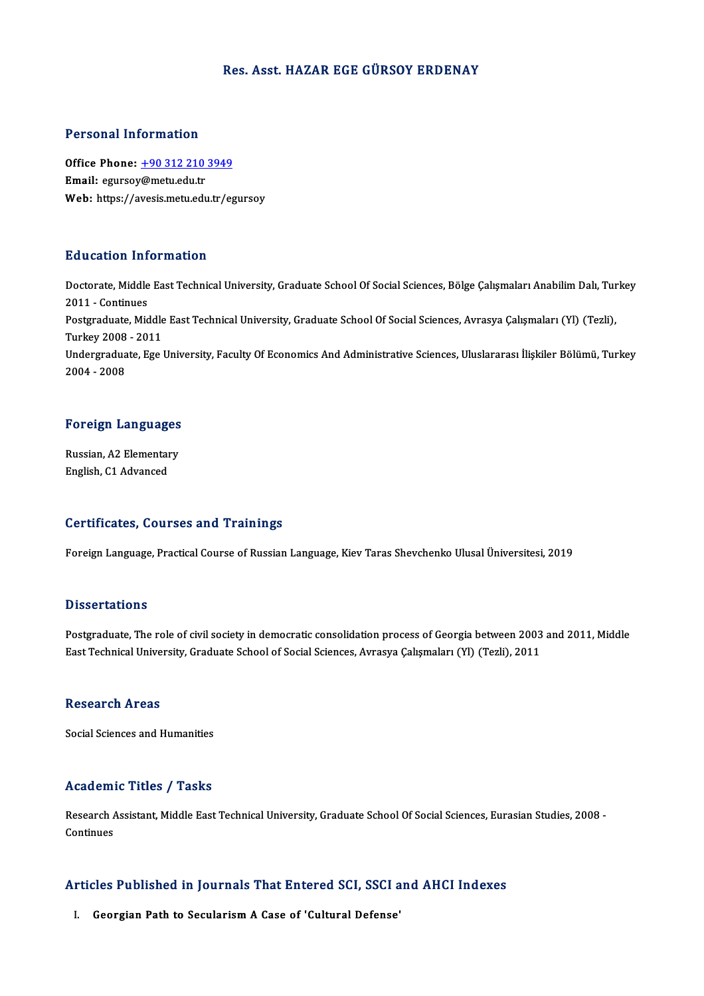## Res. Asst.HAZAR EGE GÜRSOY ERDENAY

## Personal Information

Personal Information<br>Office Phone: <u>+90 312 210 3949</u><br>Email: equreou@metu.edu.tr Processing internation<br>Office Phone: <u>+90 312 210</u><br>Email: egurso[y@metu.edu.tr](tel:+90 312 210 3949) Email: egursoy@metu.edu.tr<br>Web: https://avesis.metu.edu.tr/egursoy

## Education Information

**Education Information**<br>Doctorate, Middle East Technical University, Graduate School Of Social Sciences, Bölge Çalışmaları Anabilim Dalı, Turkey<br>2011 - Gertinues 2010 - Continues<br>2011 - Continues<br>Postareduate Mid Doctorate, Middle East Technical University, Graduate School Of Social Sciences, Bölge Çalışmaları Anabilim Dalı, Tur<br>2011 - Continues<br>Postgraduate, Middle East Technical University, Graduate School Of Social Sciences, Avr 2011 - Continues<br>Postgraduate, Middle<br>Turkey 2008 - 2011<br>Undergraduate, Esc. Postgraduate, Middle East Technical University, Graduate School Of Social Sciences, Avrasya Çalışmaları (Yl) (Tezli),<br>Turkey 2008 - 2011<br>Undergraduate, Ege University, Faculty Of Economics And Administrative Sciences, Ulus Turkey 2008<br>Undergradua<br>2004 - 2008

# <sub>2004</sub> - <sub>2008</sub><br>Foreign Languages

**Foreign Languages<br>Russian, A2 Elementary<br>English C1 Advanced** Russian, A2 Elementary<br>English, C1 Advanced

### Certificates, Courses and Trainings

Foreign Language, Practical Course of Russian Language, Kiev Taras Shevchenko Ulusal Üniversitesi, 2019

### **Dissertations**

Dissertations<br>Postgraduate, The role of civil society in democratic consolidation process of Georgia between 2003 and 2011, Middle<br>Fest Technical University, Creduate School of Social Sciences, Ayresys Calemalary (V), (Tec Bassea tatrons<br>Postgraduate, The role of civil society in democratic consolidation process of Georgia between 2003<br>East Technical University, Graduate School of Social Sciences, Avrasya Çalışmaları (Yl) (Tezli), 2011 East Technical University, Graduate School of Social Sciences, Avrasya Çalışmaları (Yl) (Tezli), 2011<br>Research Areas

Social Sciences and Humanities

## Academic Titles / Tasks

**Academic Titles / Tasks**<br>Research Assistant, Middle East Technical University, Graduate School Of Social Sciences, Eurasian Studies, 2008 -<br>Continues Research A<br>Continues

## Articles Published in Journals That Entered SCI, SSCI and AHCI Indexes rticles Published in Journals That Entered SCI, SSCI a<br>I. Georgian Path to Secularism A Case of 'Cultural Defense'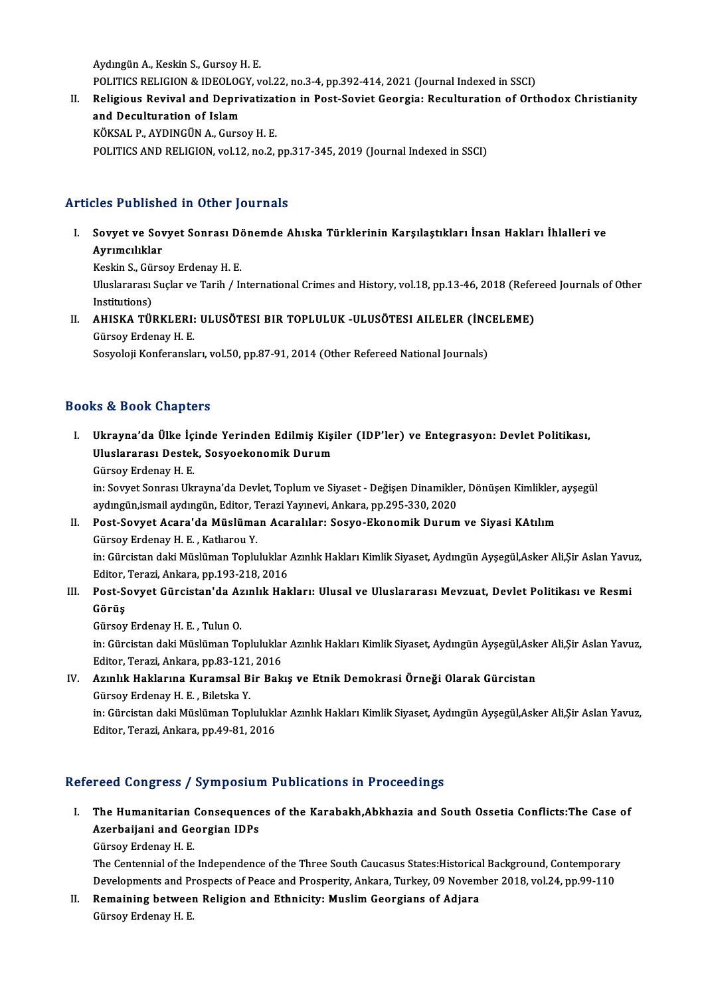Aydıngün A., Keskin S., Gursoy H. E. Aydıngün A., Keskin S., Gursoy H. E.<br>POLITICS RELIGION & IDEOLOGY, vol.22, no.3-4, pp.392-414, 2021 (Journal Indexed in SSCI)<br>Religious Revivel and Dennivativation in Rest Seviet Coengie: Resulturation of Ort

II. Religious Revival and Deprivatization in Post-Soviet Georgia: Reculturation of Orthodox Christianity<br>and Deculturation of Islam POLITICS RELIGION & IDEOLOG<br>Religious Revival and Depri<br>and Deculturation of Islam<br>*VÖVSAL B. AVDINCÜN A. Gune* KÖKSAL P.,AYDINGÜNA.,GursoyH.E. POLITICS AND RELIGION, vol.12, no.2, pp.317-345, 2019 (Journal Indexed in SSCI)

## Articles Published in Other Journals

- rticles Published in Other Journals<br>I. Sovyet ve Sovyet Sonrası Dönemde Ahıska Türklerinin Karşılaştıkları İnsan Hakları İhlalleri ve<br>Aynımcılıklar Ayrımcılıklar<br>Ayrımcılıklar<br>Keskin S. Güre Sovyet ve Sovyet Sonrası D*i*<br>Ayrımcılıklar<br>Keskin S., Gürsoy Erdenay H. E.<br>Hluelenanası Suelar ve Tarih / L Ayrımcılıklar<br>Keskin S., Gürsoy Erdenay H. E.<br>Uluslararası Suçlar ve Tarih / International Crimes and History, vol.18, pp.13-46, 2018 (Refereed Journals of Other Keskin S., Güi<br>Uluslararası :<br>Institutions)<br>AHISKA TÜI Uluslararası Suçlar ve Tarih / International Crimes and History, vol.18, pp.13-46, 2018 (Refer<br>Institutions)<br>II. AHISKA TÜRKLERI: ULUSÖTESI BIR TOPLULUK -ULUSÖTESI AILELER (İNCELEME)<br>Cüreyy Francy H. F.
- Institutions)<br>AHISKA TÜRKLERI:<br>Gürsoy Erdenay H. E.<br>Segyeleji Kenferansla AHISKA TÜRKLERI: ULUSÖTESI BIR TOPLULUK -ULUSÖTESI AILELER (İNC<br>Gürsoy Erdenay H. E.<br>Sosyoloji Konferansları, vol.50, pp.87-91, 2014 (Other Refereed National Journals)

Sosyoloji Konferansları, vol.50, pp.87-91, 2014 (Other Refereed National Journals)<br>Books & Book Chapters

ooks & Book Chapters<br>I. Ukrayna'da Ülke İçinde Yerinden Edilmiş Kişiler (IDP'ler) ve Entegrasyon: Devlet Politikası,<br>Hivelareresi Destek, Sosyoekanemik Durum Luslarası Shaptoru<br>Ukrayna'da Ülke İçinde Yerinden Edilmiş Kişi<br>Uluslararası Destek, Sosyoekonomik Durum Ukrayna'da Ülke İç<br>Uluslararası Destel<br>Gürsoy Erdenay H. E.<br>in: Sayyat Sanrası Ha Uluslararası Destek, Sosyoekonomik Durum<br>Gürsoy Erdenay H. E.<br>in: Sovyet Sonrası Ukrayna'da Devlet, Toplum ve Siyaset - Değişen Dinamikler, Dönüşen Kimlikler, ayşegül

aydıngün,ismail aydıngün, Editor, Terazi Yayınevi, Ankara, pp.295-330, 2020 in: Sovyet Sonrası Ukrayna'da Devlet, Toplum ve Siyaset - Değişen Dinamikler, Dönüşen Kimlikler,<br>aydıngün,ismail aydıngün, Editor, Terazi Yayınevi, Ankara, pp.295-330, 2020<br>II. Post-Sovyet Acara'da Müslüman Acaralılar: Sos

## aydıngün,ismail aydıngün, Editor, T<br>Post-Sovyet Acara'da Müslüma<br>Gürsoy Erdenay H. E. , Katlıarou Y.<br>in: Gürgistan daki Müslüman Tanlu Gürsoy Erdenay H. E. , Katlıarou Y.<br>in: Gürcistan daki Müslüman Topluluklar Azınlık Hakları Kimlik Siyaset, Aydıngün Ayşegül,Asker Ali,Şir Aslan Yavuz,

Editor, Terazi, Ankara, pp.193-218, 2016

## III. Post-Sovyet Gürcistan'da Azınlık Hakları: Ulusal ve Uluslararası Mevzuat, Devlet Politikası ve Resmi Görüş

GürsoyErdenayH.E. ,TulunO. Görüş<br>Gürsoy Erdenay H. E. , Tulun O.<br>in: Gürcistan daki Müslüman Topluluklar Azınlık Hakları Kimlik Siyaset, Aydıngün Ayşegül,Asker Ali,Şir Aslan Yavuz,<br>Editor, Terazi, Ankara, pp.93, 121, 2016 Gürsoy Erdenay H. E. , Tulun O.<br>in: Gürcistan daki Müslüman Topluluklaı<br>Editor, Terazi, Ankara, pp.83-121, 2016<br>Azınlık Haklarına Kuramsal Bir Bak II: Gürcistan daki Müslüman Topluluklar Azınlık Hakları Kimlik Siyaset, Aydıngün Ayşegül,Ask<br>Editor, Terazi, Ankara, pp.83-121, 2016<br>IV. Azınlık Haklarına Kuramsal Bir Bakış ve Etnik Demokrasi Örneği Olarak Gürcistan<br>Gürce

## Editor, Terazi, Ankara, pp.83-121<br>Azınlık Haklarına Kuramsal B.<br>Gürsoy Erdenay H. E. , Biletska Y.<br>in: Gürsistan daki Müslüman Tanl Gürsoy Erdenay H. E. , Biletska Y.<br>in: Gürcistan daki Müslüman Topluluklar Azınlık Hakları Kimlik Siyaset, Aydıngün Ayşegül,Asker Ali,Şir Aslan Yavuz,

Editor, Terazi, Ankara, pp.49-81, 2016

## Refereed Congress / Symposium Publications in Proceedings

- efereed Congress / Symposium Publications in Proceedings<br>I. The Humanitarian Consequences of the Karabakh,Abkhazia and South Ossetia Conflicts:The Case of Teca Gengress 7 by Inpediation<br>The Humanitarian Consequence<br>Azerbaijani and Georgian IDPs Azerbaijani and Georgian IDPs<br>Gürsoy Erdenay H. E.
	-

Azerbaijani and Georgian IDPs<br>Gürsoy Erdenay H. E.<br>The Centennial of the Independence of the Three South Caucasus States:Historical Background, Contemporary<br>Davelopments and Prespects of Bease and Presperity, Apkara, Turke Gürsoy Erdenay H. E.<br>The Centennial of the Independence of the Three South Caucasus States:Historical Background, Contemporary<br>Developments and Prospects of Peace and Prosperity, Ankara, Turkey, 09 November 2018, vol.24, p The Centennial of the Independence of the Three South Caucasus States:Historica<br>Developments and Prospects of Peace and Prosperity, Ankara, Turkey, 09 Novem<br>II. Remaining between Religion and Ethnicity: Muslim Georgians of

Developments and Pr<br><mark>Remaining betwee</mark><br>Gürsoy Erdenay H. E.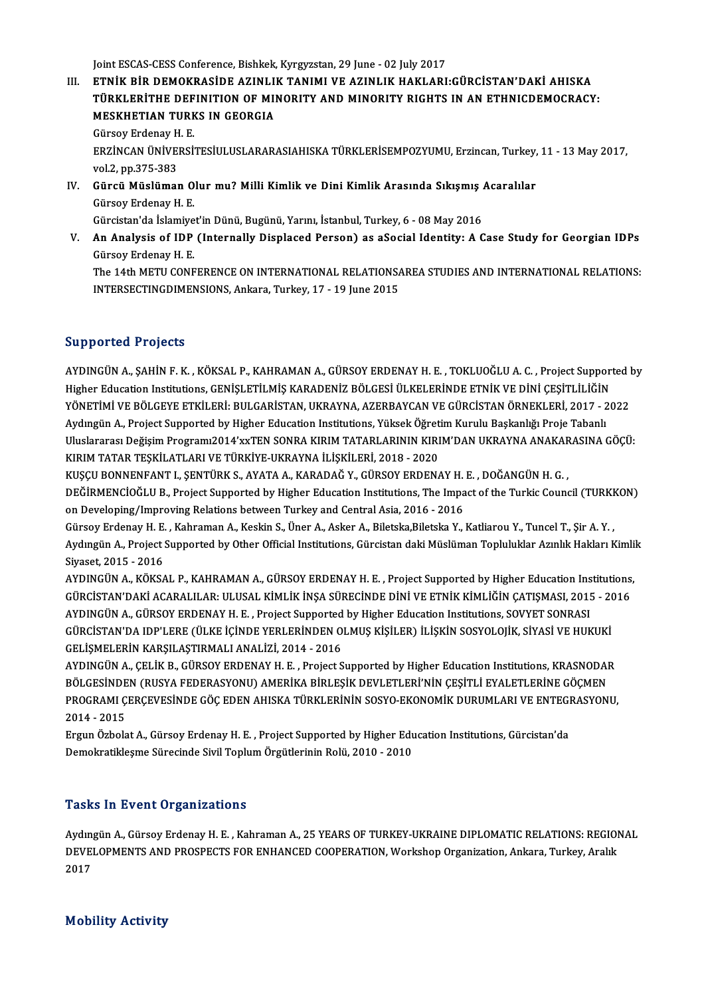Joint ESCAS-CESS Conference, Bishkek, Kyrgyzstan, 29 June - 02 July 2017

Joint ESCAS-CESS Conference, Bishkek, Kyrgyzstan, 29 June - 02 July 2017<br>III. ETNİK BİR DEMOKRASİDE AZINLIK TANIMI VE AZINLIK HAKLARI:GÜRCİSTAN'DAKİ AHISKA<br>TÜRKI ERİTHE DEFINITION OF MINORITY AND MINORITY RICHTS IN AN ETHN Joint ESCAS-CESS Conference, Bishkek, Kyrgyzstan, 29 June - 02 July 2017<br>ETNİK BİR DEMOKRASİDE AZINLIK TANIMI VE AZINLIK HAKLARI:GÜRCİSTAN'DAKİ AHISKA<br>TÜRKLERİTHE DEFINITION OF MINORITY AND MINORITY RIGHTS IN AN ETHNICDEMO ETNIK BIR DEMOKRASIDE AZINLI<br>TÜRKLERITHE DEFINITION OF MI<br>MESKHETIAN TURKS IN GEORGIA<br>Cürsey Erdensy H-E TÜRKLERİTHE DEFINITION OF MINORITY AND MINORITY RIGHTS IN AN ETHNICDEMOCRACY:<br>MESKHETIAN TURKS IN GEORGIA<br>Gürsoy Erdenay H. E.

MESKHETIAN TURKS IN GEORGIA<br>Gürsoy Erdenay H. E.<br>ERZİNCAN ÜNİVERSİTESİULUSLARARASIAHISKA TÜRKLERİSEMPOZYUMU, Erzincan, Turkey, 11 - 13 May 2017,<br>VAL2 AR 275 292 Gürsoy Erdenay H<br>ERZİNCAN ÜNİVE<br>vol.2, pp.375-383<br>Gürgü Müslümar ERZİNCAN ÜNİVERSİTESİULUSLARARASIAHISKA TÜRKLERİSEMPOZYUMU, Erzincan, Turkey,<br>vol.2, pp.375-383<br>IV. Gürcü Müslüman Olur mu? Milli Kimlik ve Dini Kimlik Arasında Sıkışmış Acaralılar<br>Gürcü Erdenay H. E

vol.2, pp.375-383<br>IV. Gürcü Müslüman Olur mu? Milli Kimlik ve Dini Kimlik Arasında Sıkışmış Acaralılar<br>Gürsoy Erdenay H. E. Gürcü Müslüman Olur mu? Milli Kimlik ve Dini Kimlik Arasında Sıkışmış .<br>Gürsoy Erdenay H. E.<br>Gürcistan'da İslamiyet'in Dünü, Bugünü, Yarını, İstanbul, Turkey, 6 - 08 May 2016<br>An Analysis of IDB (Internally Displased Berson

Gürsoy Erdenay H. E.<br>Gürcistan'da İslamiyet'in Dünü, Bugünü, Yarını, İstanbul, Turkey, 6 - 08 May 2016<br>V. An Analysis of IDP (Internally Displaced Person) as aSocial Identity: A Case Study for Georgian IDPs<br>Gürsov Erde Gürcistan'da İslamiye<br>**An Analysis of IDP**<br>Gürsoy Erdenay H. E.<br>The 14th METU CONE An Analysis of IDP (Internally Displaced Person) as aSocial Identity: A Case Study for Georgian IDPs<br>Gürsoy Erdenay H. E.<br>The 14th METU CONFERENCE ON INTERNATIONAL RELATIONSAREA STUDIES AND INTERNATIONAL RELATIONS:<br>INTERSE

Gürsoy Erdenay H. E.<br>The 14th METU CONFERENCE ON INTERNATIONAL RELATIONSAREA STUDIES AND INTERNATIONAL RELATIONS:<br>INTERSECTINGDIMENSIONS, Ankara, Turkey, 17 - 19 June 2015

## Supported Projects

Supported Projects<br>AYDINGÜN A., ŞAHİN F. K. , KÖKSAL P., KAHRAMAN A., GÜRSOY ERDENAY H. E. , TOKLUOĞLU A. C. , Project Supported by<br>Hisker Edvestion Institutions CENISLETILMIS KARADENIZ PÖLCESİ ÜLKELERİNDE ETNİK VE DİNLCES Bupporteca i rojects<br>AYDINGÜN A., ŞAHİN F. K. , KÖKSAL P., KAHRAMAN A., GÜRSOY ERDENAY H. E. , TOKLUOĞLU A. C. , Project Suppor<br>Higher Education Institutions, GENİŞLETİLMİŞ KARADENİZ BÖLGESİ ÜLKELERİNDE ETNİK VE DİNİ ÇEŞİT AYDINGÜN A., ŞAHİN F. K. , KÖKSAL P., KAHRAMAN A., GÜRSOY ERDENAY H. E. , TOKLUOĞLU A. C. , Project Supported l<br>Higher Education Institutions, GENİŞLETİLMİŞ KARADENİZ BÖLGESİ ÜLKELERİNDE ETNİK VE DİNİ ÇEŞİTLİLİĞİN<br>YÖNETİMİ Higher Education Institutions, GENİŞLETİLMİŞ KARADENİZ BÖLGESİ ÜLKELERİNDE ETNİK VE DİNİ ÇEŞİTLİLİĞİN<br>YÖNETİMİ VE BÖLGEYE ETKİLERİ: BULGARİSTAN, UKRAYNA, AZERBAYCAN VE GÜRCİSTAN ÖRNEKLERİ, 2017 - 2022<br>Aydıngün A., Project YÖNETİMİ VE BÖLGEYE ETKİLERİ: BULGARİSTAN, UKRAYNA, AZERBAYCAN VE GÜRCİSTAN ÖRNEKLERİ, 2017 - 2022<br>Aydıngün A., Project Supported by Higher Education Institutions, Yüksek Öğretim Kurulu Başkanlığı Proje Tabanlı<br>Uluslararas Aydıngün A., Project Supported by Higher Education Institutions, Yüksek Öğret<br>Uluslararası Değişim Programı2014'xxTEN SONRA KIRIM TATARLARININ KIRI<br>KIRIM TATAR TEŞKİLATLARI VE TÜRKİYE-UKRAYNA İLİŞKİLERİ, 2018 - 2020<br>KUSCU

KIRIM TATAR TEŞKİLATLARI VE TÜRKİYE-UKRAYNA İLİŞKİLERİ, 2018 - 2020<br>KUŞÇU BONNENFANT I., ŞENTÜRK S., AYATA A., KARADAĞ Y., GÜRSOY ERDENAY H. E. , DOĞANGÜN H. G. , KIRIM TATAR TEŞKİLATLARI VE TÜRKİYE-UKRAYNA İLİŞKİLERİ, 2018 - 2020<br>KUŞÇU BONNENFANT I., ŞENTÜRK S., AYATA A., KARADAĞ Y., GÜRSOY ERDENAY H. E. , DOĞANGÜN H. G. ,<br>DEĞİRMENCİOĞLU B., Project Supported by Higher Education In KUŞÇU BONNENFANT I., ŞENTÜRK S., AYATA A., KARADAĞ Y., GÜRSOY ERDENAY H.<br>DEĞİRMENCİOĞLU B., Project Supported by Higher Education Institutions, The Impa<br>on Developing/Improving Relations between Turkey and Central Asia, 20 DEĞİRMENCİOĞLU B., Project Supported by Higher Education Institutions, The Impact of the Turkic Council (TURKH<br>on Developing/Improving Relations between Turkey and Central Asia, 2016 - 2016<br>Gürsoy Erdenay H. E. , Kahraman

on Developing/Improving Relations between Turkey and Central Asia, 2016 - 2016<br>Gürsoy Erdenay H. E. , Kahraman A., Keskin S., Üner A., Asker A., Biletska,Biletska Y., Katliarou Y., Tuncel T., Şir A. Y. ,<br>Aydıngün A., Proje Gürsoy Erdenay H. E. , Kahraman A., Keskin S., Üner A., Asker A., Biletska,Biletska Y., Katliarou Y., Tuncel T., Şir A. Y. ,<br>Aydıngün A., Project Supported by Other Official Institutions, Gürcistan daki Müslüman Toplulukla Aydıngün A., Project Supported by Other Official Institutions, Gürcistan daki Müslüman Topluluklar Azınlık Hakları Kimli<br>Siyaset, 2015 - 2016<br>AYDINGÜN A., KÖKSAL P., KAHRAMAN A., GÜRSOY ERDENAY H. E. , Project Supported by

Siyaset, 2015 - 2016<br>AYDINGÜN A., KÖKSAL P., KAHRAMAN A., GÜRSOY ERDENAY H. E. , Project Supported by Higher Education Institutions<br>GÜRCİSTAN'DAKİ ACARALILAR: ULUSAL KİMLİK İNŞA SÜRECİNDE DİNİ VE ETNİK KİMLİĞİN ÇATIŞMASI, AYDINGÜN A., KÖKSAL P., KAHRAMAN A., GÜRSOY ERDENAY H. E. , Project Supported by Higher Education Ins<br>GÜRCİSTAN'DAKİ ACARALILAR: ULUSAL KİMLİK İNŞA SÜRECİNDE DİNİ VE ETNİK KİMLİĞİN ÇATIŞMASI, 2015<br>AYDINGÜN A., GÜRSOY ERDEN GÜRCİSTAN'DAKİ ACARALILAR: ULUSAL KİMLİK İNŞA SÜRECİNDE DİNİ VE ETNİK KİMLİĞİN ÇATIŞMASI, 2015 - 20<br>AYDINGÜN A., GÜRSOY ERDENAY H. E. , Project Supported by Higher Education Institutions, SOVYET SONRASI<br>GÜRCİSTAN'DA IDP'LE AYDINGÜN A., GÜRSOY ERDENAY H. E. , Project Supported<br>GÜRCİSTAN'DA IDP'LERE (ÜLKE İÇİNDE YERLERİNDEN O<br>GELİŞMELERİN KARŞILAŞTIRMALI ANALİZİ, 2014 - 2016<br>AYDINCÜN A. CELİK B. GÜRSOY ERDENAY H. E. Project S GÜRCİSTAN'DA IDP'LERE (ÜLKE İÇİNDE YERLERİNDEN OLMUŞ KİŞİLER) İLİŞKİN SOSYOLOJİK, SİYASİ VE HUKUKİ<br>GELİŞMELERİN KARŞILAŞTIRMALI ANALİZİ, 2014 - 2016<br>AYDINGÜN A., ÇELİK B., GÜRSOY ERDENAY H. E. , Project Supported by Higher

GELİŞMELERİN KARŞILAŞTIRMALI ANALİZİ, 2014 - 2016<br>AYDINGÜN A., ÇELİK B., GÜRSOY ERDENAY H. E. , Project Supported by Higher Education Institutions, KRASNODAI<br>BÖLGESİNDEN (RUSYA FEDERASYONU) AMERİKA BİRLEŞİK DEVLETLERİ'NİN AYDINGÜN A., ÇELİK B., GÜRSOY ERDENAY H. E. , Project Supported by Higher Education Institutions, KRASNODAR<br>BÖLGESİNDEN (RUSYA FEDERASYONU) AMERİKA BİRLEŞİK DEVLETLERİ'NİN ÇEŞİTLİ EYALETLERİNE GÖÇMEN<br>PROGRAMI ÇERÇEVESİNDE BÖLGESİNDEN (RUSYA FEDERASYONU) AMERİKA BİRLEŞİK DEVLETLERİ'NİN ÇEŞİTLİ EYALETLERİNE GÖÇMEN<br>PROGRAMI ÇERÇEVESİNDE GÖÇ EDEN AHISKA TÜRKLERİNİN SOSYO-EKONOMİK DURUMLARI VE ENTEGRASYON<br>2014 - 2015 PROGRAMI ÇERÇEVESİNDE GÖÇ EDEN AHISKA TÜRKLERİNİN SOSYO-EKONOMİK DURUMLARI VE ENTEGRASYONU,<br>2014 - 2015<br>Ergun Özbolat A., Gürsoy Erdenay H. E. , Project Supported by Higher Education Institutions, Gürcistan'da<br>Demokratikle

Ergun Özbolat A., Gürsoy Erdenay H. E., Project Supported by Higher Education Institutions, Gürcistan'da

## **Tasks In Event Organizations**

Tasks In Event Organizations<br>Aydıngün A., Gürsoy Erdenay H. E. , Kahraman A., 25 YEARS OF TURKEY-UKRAINE DIPLOMATIC RELATIONS: REGIONAL<br>REVELOPMENTS AND PROSPECTS FOR ENHANCED COOPERATION Workshop Organization Ankara Turka Tusks III EV SIFE OF Santaufforfs<br>Aydıngün A., Gürsoy Erdenay H. E. , Kahraman A., 25 YEARS OF TURKEY-UKRAINE DIPLOMATIC RELATIONS: REGIOI<br>DEVELOPMENTS AND PROSPECTS FOR ENHANCED COOPERATION, Workshop Organization, Ankara, Aydın<br>DEVEl<br>2017